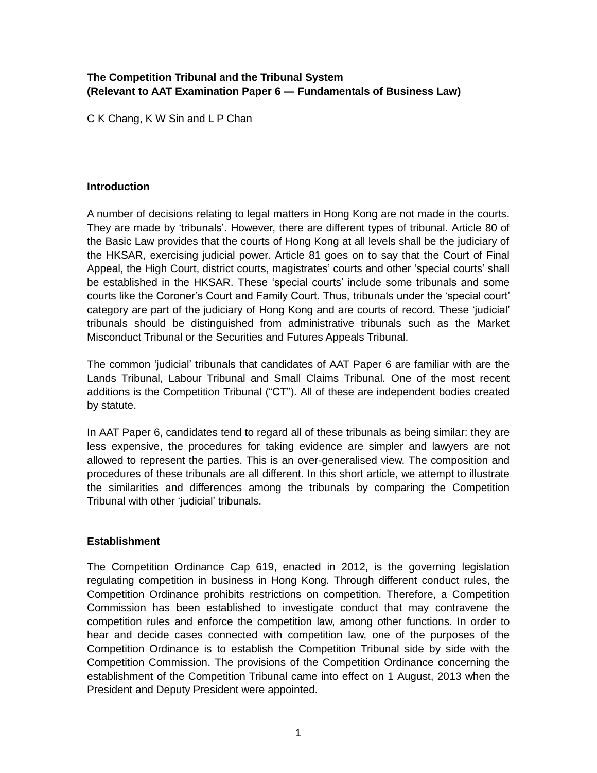# **The Competition Tribunal and the Tribunal System (Relevant to AAT Examination Paper 6 — Fundamentals of Business Law)**

C K Chang, K W Sin and L P Chan

## **Introduction**

A number of decisions relating to legal matters in Hong Kong are not made in the courts. They are made by 'tribunals'. However, there are different types of tribunal. Article 80 of the Basic Law provides that the courts of Hong Kong at all levels shall be the judiciary of the HKSAR, exercising judicial power. Article 81 goes on to say that the Court of Final Appeal, the High Court, district courts, magistrates' courts and other 'special courts' shall be established in the HKSAR. These 'special courts' include some tribunals and some courts like the Coroner's Court and Family Court. Thus, tribunals under the 'special court' category are part of the judiciary of Hong Kong and are courts of record. These 'judicial' tribunals should be distinguished from administrative tribunals such as the Market Misconduct Tribunal or the Securities and Futures Appeals Tribunal.

The common 'judicial' tribunals that candidates of AAT Paper 6 are familiar with are the Lands Tribunal, Labour Tribunal and Small Claims Tribunal. One of the most recent additions is the Competition Tribunal ("CT"). All of these are independent bodies created by statute.

In AAT Paper 6, candidates tend to regard all of these tribunals as being similar: they are less expensive, the procedures for taking evidence are simpler and lawyers are not allowed to represent the parties. This is an over-generalised view. The composition and procedures of these tribunals are all different. In this short article, we attempt to illustrate the similarities and differences among the tribunals by comparing the Competition Tribunal with other 'judicial' tribunals.

### **Establishment**

The Competition Ordinance Cap 619, enacted in 2012, is the governing legislation regulating competition in business in Hong Kong. Through different conduct rules, the Competition Ordinance prohibits restrictions on competition. Therefore, a Competition Commission has been established to investigate conduct that may contravene the competition rules and enforce the competition law, among other functions. In order to hear and decide cases connected with competition law, one of the purposes of the Competition Ordinance is to establish the Competition Tribunal side by side with the Competition Commission. The provisions of the Competition Ordinance concerning the establishment of the Competition Tribunal came into effect on 1 August, 2013 when the President and Deputy President were appointed.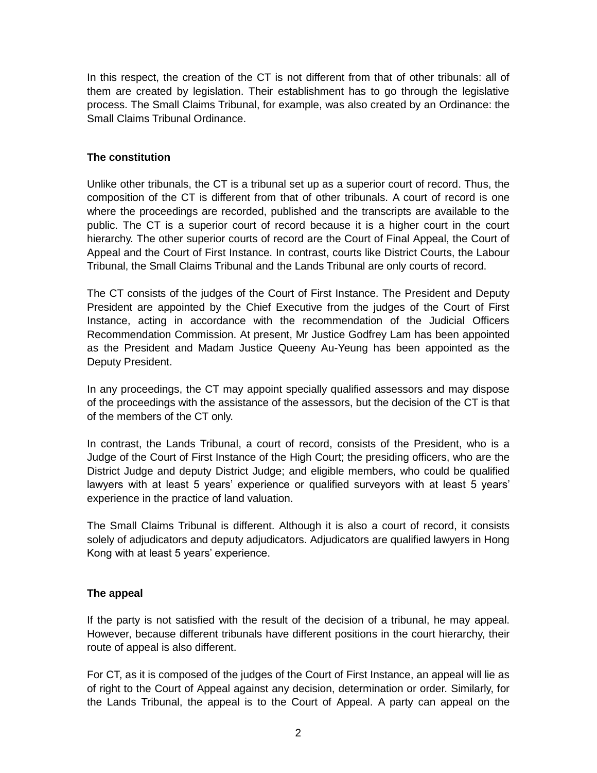In this respect, the creation of the CT is not different from that of other tribunals: all of them are created by legislation. Their establishment has to go through the legislative process. The Small Claims Tribunal, for example, was also created by an Ordinance: the Small Claims Tribunal Ordinance.

## **The constitution**

Unlike other tribunals, the CT is a tribunal set up as a superior court of record. Thus, the composition of the CT is different from that of other tribunals. A court of record is one where the proceedings are recorded, published and the transcripts are available to the public. The CT is a superior court of record because it is a higher court in the court hierarchy. The other superior courts of record are the Court of Final Appeal, the Court of Appeal and the Court of First Instance. In contrast, courts like District Courts, the Labour Tribunal, the Small Claims Tribunal and the Lands Tribunal are only courts of record.

The CT consists of the judges of the Court of First Instance. The President and Deputy President are appointed by the Chief Executive from the judges of the Court of First Instance, acting in accordance with the recommendation of the Judicial Officers Recommendation Commission. At present, Mr Justice Godfrey Lam has been appointed as the President and Madam Justice Queeny Au-Yeung has been appointed as the Deputy President.

In any proceedings, the CT may appoint specially qualified assessors and may dispose of the proceedings with the assistance of the assessors, but the decision of the CT is that of the members of the CT only.

In contrast, the Lands Tribunal, a court of record, consists of the President, who is a Judge of the Court of First Instance of the High Court; the presiding officers, who are the District Judge and deputy District Judge; and eligible members, who could be qualified lawyers with at least 5 years' experience or qualified surveyors with at least 5 years' experience in the practice of land valuation.

The Small Claims Tribunal is different. Although it is also a court of record, it consists solely of adjudicators and deputy adjudicators. Adjudicators are qualified lawyers in Hong Kong with at least 5 years' experience.

### **The appeal**

If the party is not satisfied with the result of the decision of a tribunal, he may appeal. However, because different tribunals have different positions in the court hierarchy, their route of appeal is also different.

For CT, as it is composed of the judges of the Court of First Instance, an appeal will lie as of right to the Court of Appeal against any decision, determination or order. Similarly, for the Lands Tribunal, the appeal is to the Court of Appeal. A party can appeal on the